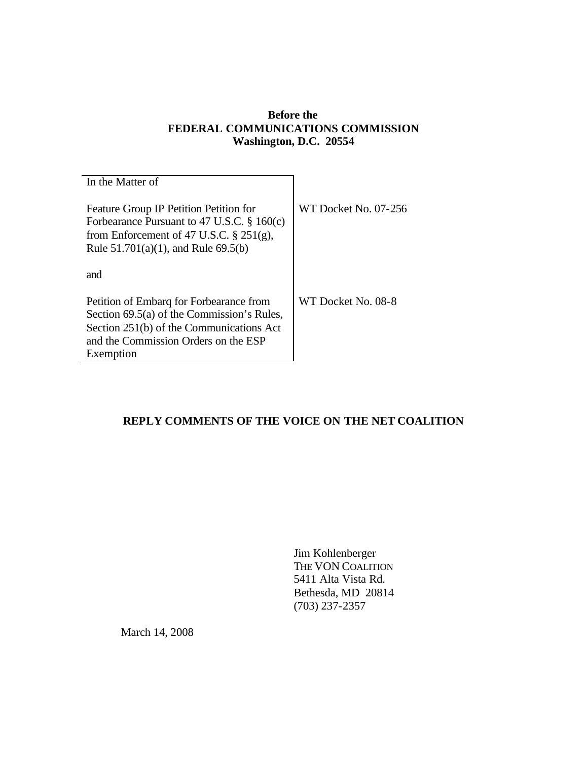## **Before the FEDERAL COMMUNICATIONS COMMISSION Washington, D.C. 20554**

| In the Matter of                                                                                                                                                                       |                      |
|----------------------------------------------------------------------------------------------------------------------------------------------------------------------------------------|----------------------|
| Feature Group IP Petition Petition for<br>Forbearance Pursuant to 47 U.S.C. $\S$ 160(c)<br>from Enforcement of 47 U.S.C. $\S 251(g)$ ,<br>Rule $51.701(a)(1)$ , and Rule 69.5(b)       | WT Docket No. 07-256 |
| and                                                                                                                                                                                    |                      |
| Petition of Embarg for Forbearance from<br>Section 69.5(a) of the Commission's Rules,<br>Section 251(b) of the Communications Act<br>and the Commission Orders on the ESP<br>Exemption | WT Docket No. 08-8   |

# **REPLY COMMENTS OF THE VOICE ON THE NET COALITION**

Jim Kohlenberger THE VON COALITION 5411 Alta Vista Rd. Bethesda, MD 20814 (703) 237-2357

March 14, 2008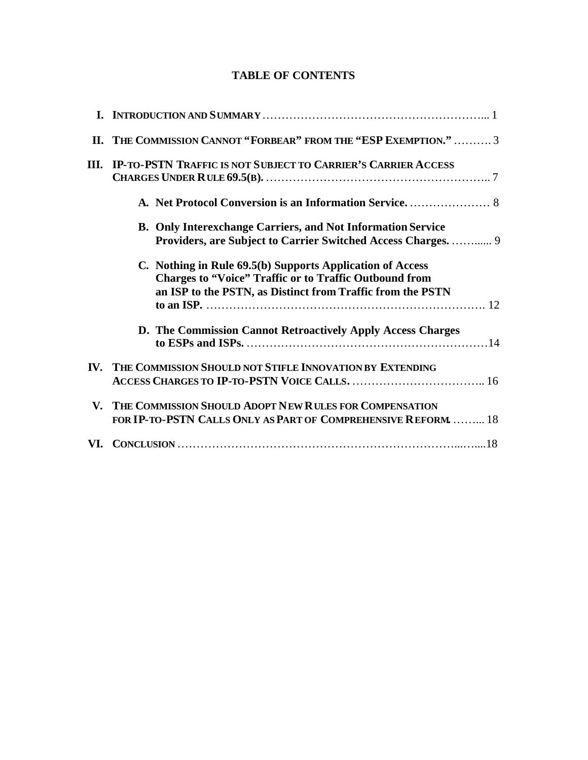# **TABLE OF CONTENTS**

|    | II. THE COMMISSION CANNOT "FORBEAR" FROM THE "ESP EXEMPTION."  3                                                                                                                         |
|----|------------------------------------------------------------------------------------------------------------------------------------------------------------------------------------------|
|    | III. IP-TO-PSTN TRAFFIC IS NOT SUBJECT TO CARRIER'S CARRIER ACCESS                                                                                                                       |
|    |                                                                                                                                                                                          |
|    | <b>B. Only Interexchange Carriers, and Not Information Service</b><br>Providers, are Subject to Carrier Switched Access Charges.  9                                                      |
|    | C. Nothing in Rule 69.5(b) Supports Application of Access<br><b>Charges to "Voice" Traffic or to Traffic Outbound from</b><br>an ISP to the PSTN, as Distinct from Traffic from the PSTN |
|    | D. The Commission Cannot Retroactively Apply Access Charges                                                                                                                              |
|    | IV. THE COMMISSION SHOULD NOT STIFLE INNOVATION BY EXTENDING                                                                                                                             |
| V. | THE COMMISSION SHOULD ADOPT NEW RULES FOR COMPENSATION<br><b>FOR IP-TO-PSTN CALLS ONLY AS PART OF COMPREHENSIVE REFORM.  18</b>                                                          |
|    |                                                                                                                                                                                          |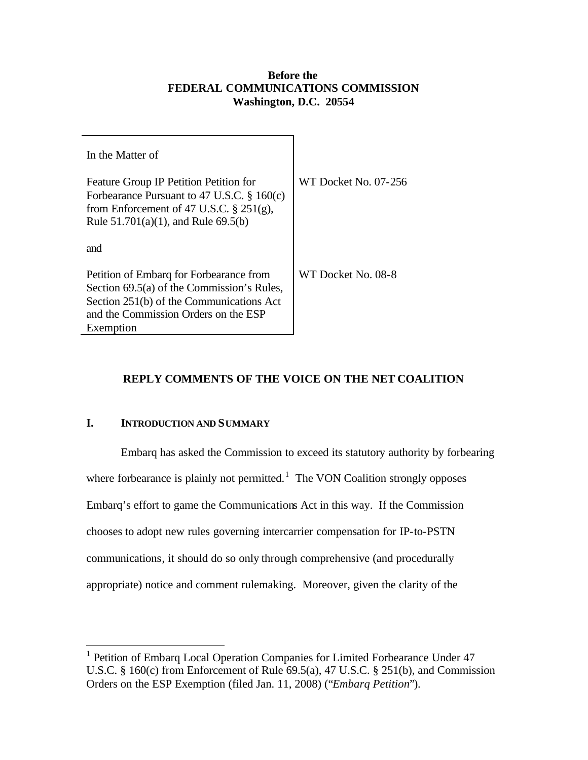#### **Before the FEDERAL COMMUNICATIONS COMMISSION Washington, D.C. 20554**

| In the Matter of                                                                                                                                                                 |                      |
|----------------------------------------------------------------------------------------------------------------------------------------------------------------------------------|----------------------|
| Feature Group IP Petition Petition for<br>Forbearance Pursuant to 47 U.S.C. $\S 160(c)$<br>from Enforcement of 47 U.S.C. $\S 251(g)$ ,<br>Rule $51.701(a)(1)$ , and Rule 69.5(b) | WT Docket No. 07-256 |
| and                                                                                                                                                                              |                      |
| Petition of Embarg for Forbearance from<br>Section 69.5(a) of the Commission's Rules,<br>Section 251(b) of the Communications Act<br>and the Commission Orders on the ESP        | WT Docket No. 08-8   |
| Exemption                                                                                                                                                                        |                      |

# **REPLY COMMENTS OF THE VOICE ON THE NET COALITION**

# **I. INTRODUCTION AND SUMMARY**

 $\overline{a}$ 

Embarq has asked the Commission to exceed its statutory authority by forbearing where forbearance is plainly not permitted.<sup>1</sup> The VON Coalition strongly opposes Embarq's effort to game the Communications Act in this way. If the Commission chooses to adopt new rules governing intercarrier compensation for IP-to-PSTN communications, it should do so only through comprehensive (and procedurally appropriate) notice and comment rulemaking. Moreover, given the clarity of the

<sup>&</sup>lt;sup>1</sup> Petition of Embarq Local Operation Companies for Limited Forbearance Under 47 U.S.C. § 160(c) from Enforcement of Rule 69.5(a), 47 U.S.C. § 251(b), and Commission Orders on the ESP Exemption (filed Jan. 11, 2008) ("*Embarq Petition*").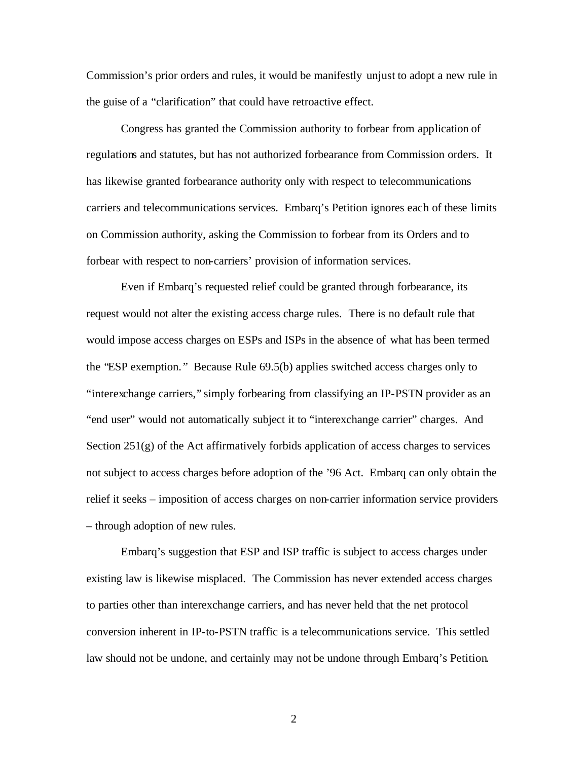Commission's prior orders and rules, it would be manifestly unjust to adopt a new rule in the guise of a "clarification" that could have retroactive effect.

Congress has granted the Commission authority to forbear from application of regulations and statutes, but has not authorized forbearance from Commission orders. It has likewise granted forbearance authority only with respect to telecommunications carriers and telecommunications services. Embarq's Petition ignores each of these limits on Commission authority, asking the Commission to forbear from its Orders and to forbear with respect to non-carriers' provision of information services.

Even if Embarq's requested relief could be granted through forbearance, its request would not alter the existing access charge rules. There is no default rule that would impose access charges on ESPs and ISPs in the absence of what has been termed the "ESP exemption. " Because Rule 69.5(b) applies switched access charges only to "interexchange carriers," simply forbearing from classifying an IP-PSTN provider as an "end user" would not automatically subject it to "interexchange carrier" charges. And Section 251(g) of the Act affirmatively forbids application of access charges to services not subject to access charges before adoption of the '96 Act. Embarq can only obtain the relief it seeks – imposition of access charges on non-carrier information service providers – through adoption of new rules.

Embarq's suggestion that ESP and ISP traffic is subject to access charges under existing law is likewise misplaced. The Commission has never extended access charges to parties other than interexchange carriers, and has never held that the net protocol conversion inherent in IP-to-PSTN traffic is a telecommunications service. This settled law should not be undone, and certainly may not be undone through Embarq's Petition.

2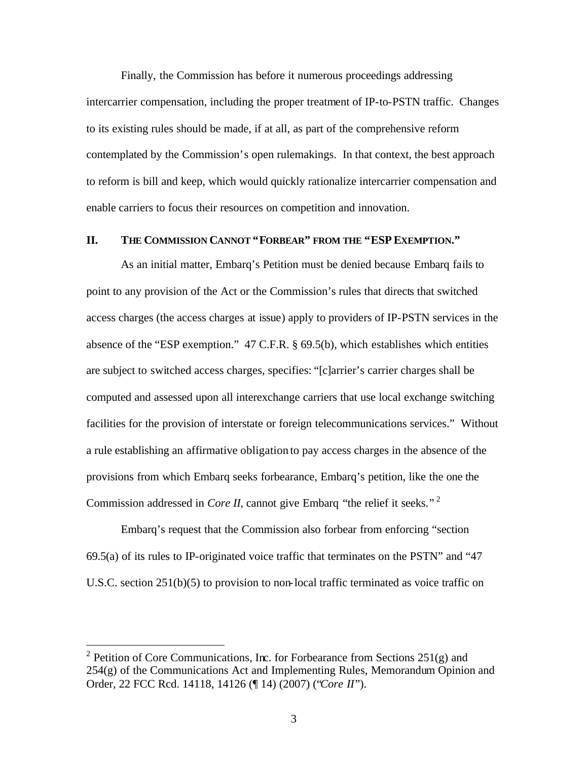Finally, the Commission has before it numerous proceedings addressing intercarrier compensation, including the proper treatment of IP-to-PSTN traffic. Changes to its existing rules should be made, if at all, as part of the comprehensive reform contemplated by the Commission's open rulemakings. In that context, the best approach to reform is bill and keep, which would quickly rationalize intercarrier compensation and enable carriers to focus their resources on competition and innovation.

## **II. THE COMMISSION CANNOT "FORBEAR" FROM THE "ESP EXEMPTION."**

As an initial matter, Embarq's Petition must be denied because Embarq fails to point to any provision of the Act or the Commission's rules that directs that switched access charges (the access charges at issue) apply to providers of IP-PSTN services in the absence of the "ESP exemption." 47 C.F.R. § 69.5(b), which establishes which entities are subject to switched access charges, specifies: "[c]arrier's carrier charges shall be computed and assessed upon all interexchange carriers that use local exchange switching facilities for the provision of interstate or foreign telecommunications services." Without a rule establishing an affirmative obligation to pay access charges in the absence of the provisions from which Embarq seeks forbearance, Embarq's petition, like the one the Commission addressed in *Core II*, cannot give Embarq "the relief it seeks."<sup>2</sup>

Embarq's request that the Commission also forbear from enforcing "section 69.5(a) of its rules to IP-originated voice traffic that terminates on the PSTN" and "47 U.S.C. section 251(b)(5) to provision to non-local traffic terminated as voice traffic on

<sup>&</sup>lt;sup>2</sup> Petition of Core Communications, Inc. for Forbearance from Sections 251(g) and  $254(g)$  of the Communications Act and Implementing Rules, Memorandum Opinion and Order, 22 FCC Rcd. 14118, 14126 (¶ 14) (2007) ("*Core II*").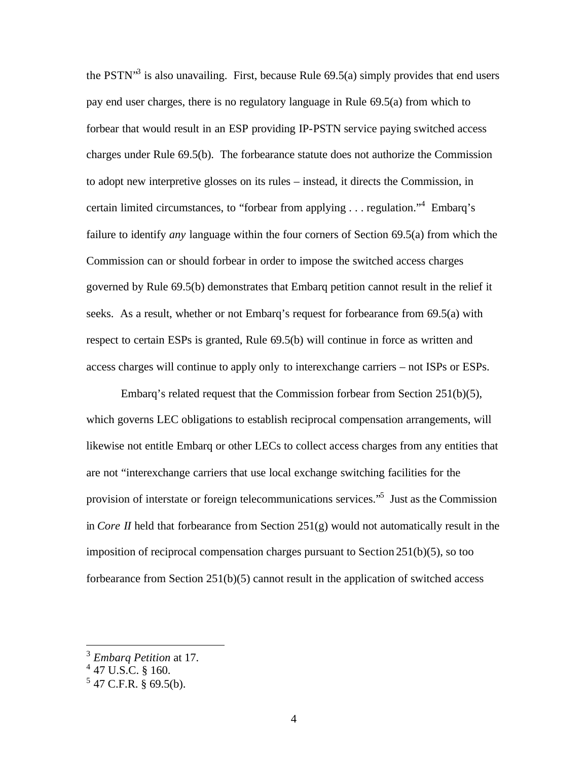the PSTN<sup>3</sup> is also unavailing. First, because Rule  $69.5(a)$  simply provides that end users pay end user charges, there is no regulatory language in Rule 69.5(a) from which to forbear that would result in an ESP providing IP-PSTN service paying switched access charges under Rule 69.5(b). The forbearance statute does not authorize the Commission to adopt new interpretive glosses on its rules – instead, it directs the Commission, in certain limited circumstances, to "forbear from applying . . . regulation."<sup>4</sup> Embarq's failure to identify *any* language within the four corners of Section 69.5(a) from which the Commission can or should forbear in order to impose the switched access charges governed by Rule 69.5(b) demonstrates that Embarq petition cannot result in the relief it seeks. As a result, whether or not Embarq's request for forbearance from 69.5(a) with respect to certain ESPs is granted, Rule 69.5(b) will continue in force as written and access charges will continue to apply only to interexchange carriers – not ISPs or ESPs.

Embarq's related request that the Commission forbear from Section 251(b)(5), which governs LEC obligations to establish reciprocal compensation arrangements, will likewise not entitle Embarq or other LECs to collect access charges from any entities that are not "interexchange carriers that use local exchange switching facilities for the provision of interstate or foreign telecommunications services."<sup>5</sup> Just as the Commission in *Core II* held that forbearance from Section 251(g) would not automatically result in the imposition of reciprocal compensation charges pursuant to Section 251(b)(5), so too forbearance from Section 251(b)(5) cannot result in the application of switched access

<sup>3</sup> *Embarq Petition* at 17.

 $4$  47 U.S.C. § 160.

 $5$  47 C.F.R. § 69.5(b).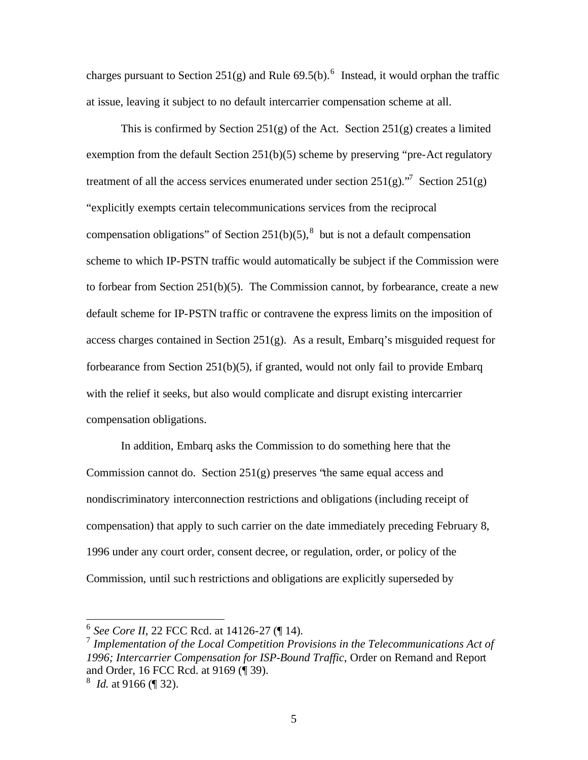charges pursuant to Section 251(g) and Rule  $69.5(b)$ .<sup>6</sup> Instead, it would orphan the traffic at issue, leaving it subject to no default intercarrier compensation scheme at all.

This is confirmed by Section 251(g) of the Act. Section 251(g) creates a limited exemption from the default Section 251(b)(5) scheme by preserving "pre-Act regulatory treatment of all the access services enumerated under section  $251(g)$ .<sup>"7</sup> Section  $251(g)$ "explicitly exempts certain telecommunications services from the reciprocal compensation obligations" of Section 251(b)(5),<sup>8</sup> but is not a default compensation scheme to which IP-PSTN traffic would automatically be subject if the Commission were to forbear from Section 251(b)(5). The Commission cannot, by forbearance, create a new default scheme for IP-PSTN traffic or contravene the express limits on the imposition of access charges contained in Section  $251(g)$ . As a result, Embarq's misguided request for forbearance from Section  $251(b)(5)$ , if granted, would not only fail to provide Embarq with the relief it seeks, but also would complicate and disrupt existing intercarrier compensation obligations.

In addition, Embarq asks the Commission to do something here that the Commission cannot do. Section 251(g) preserves "the same equal access and nondiscriminatory interconnection restrictions and obligations (including receipt of compensation) that apply to such carrier on the date immediately preceding February 8, 1996 under any court order, consent decree, or regulation, order, or policy of the Commission, until such restrictions and obligations are explicitly superseded by

 6 *See Core II*, 22 FCC Rcd. at 14126-27 (¶ 14).

<sup>&</sup>lt;sup>7</sup> Implementation of the Local Competition Provisions in the Telecommunications Act of *1996; Intercarrier Compensation for ISP-Bound Traffic*, Order on Remand and Report and Order, 16 FCC Rcd. at 9169 (¶ 39).

<sup>8</sup> *Id.* at 9166 (¶ 32).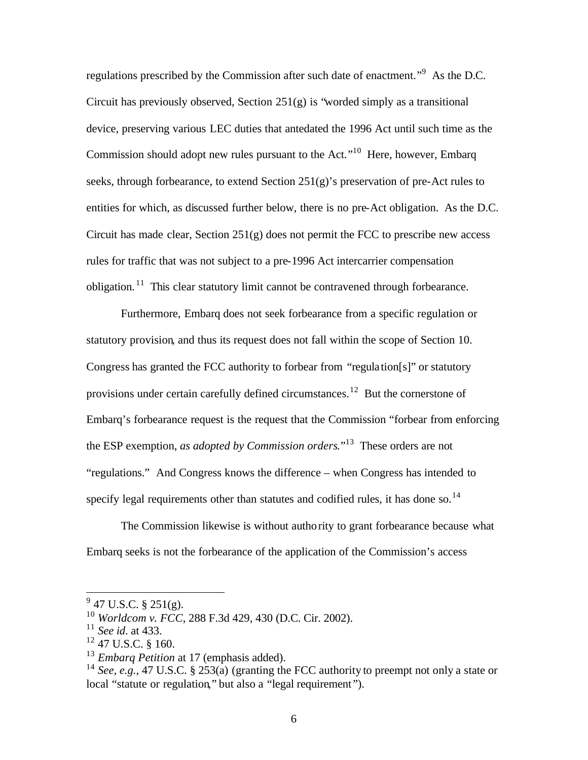regulations prescribed by the Commission after such date of enactment."<sup>9</sup> As the D.C. Circuit has previously observed, Section  $251(g)$  is "worded simply as a transitional device, preserving various LEC duties that antedated the 1996 Act until such time as the Commission should adopt new rules pursuant to the Act."<sup>10</sup> Here, however, Embarq seeks, through forbearance, to extend Section  $251(g)$ 's preservation of pre-Act rules to entities for which, as discussed further below, there is no pre-Act obligation. As the D.C. Circuit has made clear, Section  $251(g)$  does not permit the FCC to prescribe new access rules for traffic that was not subject to a pre-1996 Act intercarrier compensation obligation.<sup>11</sup> This clear statutory limit cannot be contravened through forbearance.

Furthermore, Embarq does not seek forbearance from a specific regulation or statutory provision, and thus its request does not fall within the scope of Section 10. Congress has granted the FCC authority to forbear from "regulation[s]" or statutory provisions under certain carefully defined circumstances.<sup>12</sup> But the cornerstone of Embarq's forbearance request is the request that the Commission "forbear from enforcing the ESP exemption, *as adopted by Commission orders*."<sup>13</sup> These orders are not "regulations." And Congress knows the difference – when Congress has intended to specify legal requirements other than statutes and codified rules, it has done so.<sup>14</sup>

The Commission likewise is without authority to grant forbearance because what Embarq seeks is not the forbearance of the application of the Commission's access

 $9^9$  47 U.S.C. § 251(g).

<sup>10</sup> *Worldcom v. FCC*, 288 F.3d 429, 430 (D.C. Cir. 2002).

<sup>11</sup> *See id*. at 433.

 $12$  47 U.S.C. § 160.

<sup>&</sup>lt;sup>13</sup> *Embarg Petition* at 17 (emphasis added).

<sup>&</sup>lt;sup>14</sup> *See, e.g.,* 47 U.S.C. § 253(a) (granting the FCC authority to preempt not only a state or local "statute or regulation," but also a "legal requirement").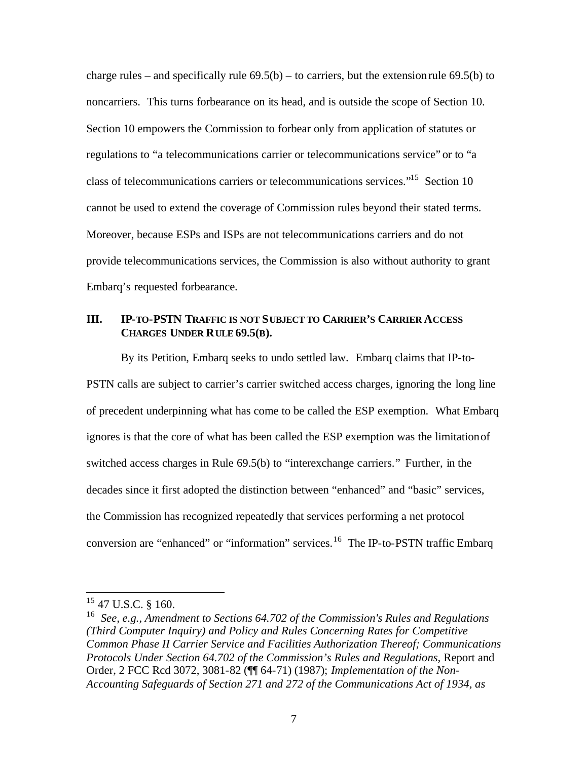charge rules – and specifically rule  $69.5(b)$  – to carriers, but the extension rule  $69.5(b)$  to noncarriers. This turns forbearance on its head, and is outside the scope of Section 10. Section 10 empowers the Commission to forbear only from application of statutes or regulations to "a telecommunications carrier or telecommunications service" or to "a class of telecommunications carriers or telecommunications services."<sup>15</sup> Section 10 cannot be used to extend the coverage of Commission rules beyond their stated terms. Moreover, because ESPs and ISPs are not telecommunications carriers and do not provide telecommunications services, the Commission is also without authority to grant Embarq's requested forbearance.

## **III. IP-TO-PSTN TRAFFIC IS NOT SUBJECT TO CARRIER'S CARRIER ACCESS CHARGES UNDER RULE 69.5(B).**

By its Petition, Embarq seeks to undo settled law. Embarq claims that IP-to-PSTN calls are subject to carrier's carrier switched access charges, ignoring the long line of precedent underpinning what has come to be called the ESP exemption. What Embarq ignores is that the core of what has been called the ESP exemption was the limitation of switched access charges in Rule 69.5(b) to "interexchange carriers." Further, in the decades since it first adopted the distinction between "enhanced" and "basic" services, the Commission has recognized repeatedly that services performing a net protocol conversion are "enhanced" or "information" services.<sup>16</sup> The IP-to-PSTN traffic Embarq

 $15$  47 U.S.C. § 160.

<sup>16</sup> *See, e.g., Amendment to Sections 64.702 of the Commission's Rules and Regulations (Third Computer Inquiry) and Policy and Rules Concerning Rates for Competitive Common Phase II Carrier Service and Facilities Authorization Thereof; Communications Protocols Under Section 64.702 of the Commission's Rules and Regulations,* Report and Order, 2 FCC Rcd 3072, 3081-82 (¶¶ 64-71) (1987); *Implementation of the Non-Accounting Safeguards of Section 271 and 272 of the Communications Act of 1934, as*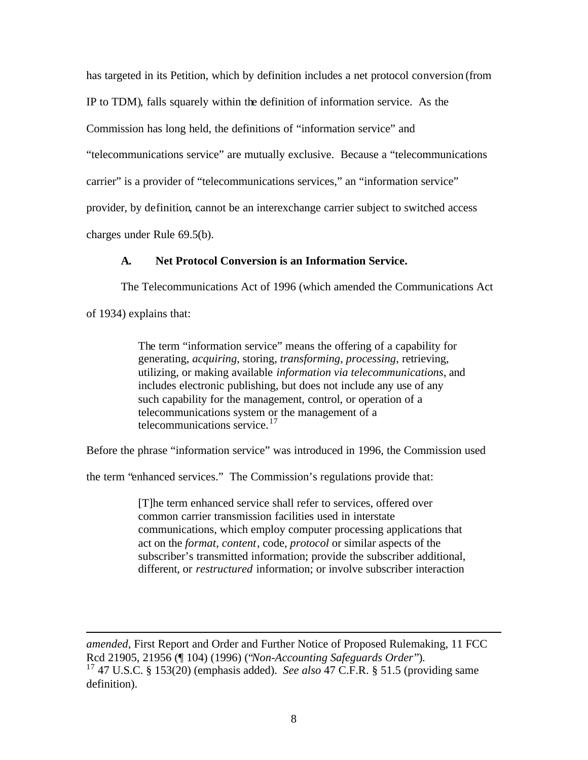has targeted in its Petition, which by definition includes a net protocol conversion (from IP to TDM), falls squarely within the definition of information service. As the Commission has long held, the definitions of "information service" and "telecommunications service" are mutually exclusive. Because a "telecommunications carrier" is a provider of "telecommunications services," an "information service" provider, by definition, cannot be an interexchange carrier subject to switched access charges under Rule 69.5(b).

#### **A. Net Protocol Conversion is an Information Service.**

The Telecommunications Act of 1996 (which amended the Communications Act

of 1934) explains that:

 $\overline{a}$ 

The term "information service" means the offering of a capability for generating, *acquiring*, storing, *transforming, processing*, retrieving, utilizing, or making available *information via telecommunications*, and includes electronic publishing, but does not include any use of any such capability for the management, control, or operation of a telecommunications system or the management of a telecommunications service.<sup>17</sup>

Before the phrase "information service" was introduced in 1996, the Commission used

the term "enhanced services." The Commission's regulations provide that:

[T]he term enhanced service shall refer to services, offered over common carrier transmission facilities used in interstate communications, which employ computer processing applications that act on the *format, content*, code, *protocol* or similar aspects of the subscriber's transmitted information; provide the subscriber additional, different, or *restructured* information; or involve subscriber interaction

*amended*, First Report and Order and Further Notice of Proposed Rulemaking, 11 FCC Rcd 21905, 21956 (¶ 104) (1996) ("*Non-Accounting Safeguards Order*").

<sup>17</sup> 47 U.S.C. § 153(20) (emphasis added). *See also* 47 C.F.R. § 51.5 (providing same definition).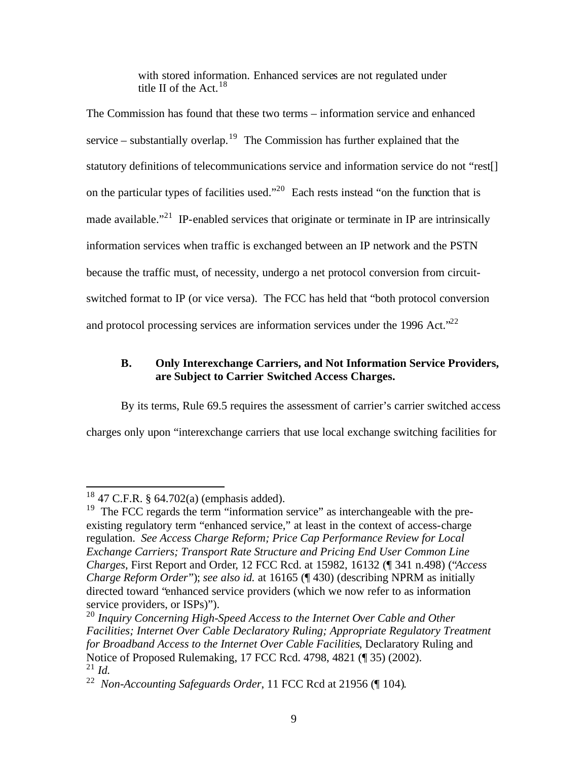with stored information. Enhanced services are not regulated under title II of the Act.  $18$ 

The Commission has found that these two terms – information service and enhanced service – substantially overlap.<sup>19</sup> The Commission has further explained that the statutory definitions of telecommunications service and information service do not "rest[] on the particular types of facilities used."<sup>20</sup> Each rests instead "on the function that is made available."<sup>21</sup> IP-enabled services that originate or terminate in IP are intrinsically information services when traffic is exchanged between an IP network and the PSTN because the traffic must, of necessity, undergo a net protocol conversion from circuitswitched format to IP (or vice versa). The FCC has held that "both protocol conversion and protocol processing services are information services under the 1996 Act. $22$ 

### **B. Only Interexchange Carriers, and Not Information Service Providers, are Subject to Carrier Switched Access Charges.**

By its terms, Rule 69.5 requires the assessment of carrier's carrier switched access charges only upon "interexchange carriers that use local exchange switching facilities for

 $18$  47 C.F.R. § 64.702(a) (emphasis added).

<sup>&</sup>lt;sup>19</sup> The FCC regards the term "information service" as interchangeable with the preexisting regulatory term "enhanced service," at least in the context of access-charge regulation. *See Access Charge Reform; Price Cap Performance Review for Local Exchange Carriers; Transport Rate Structure and Pricing End User Common Line Charges*, First Report and Order, 12 FCC Rcd. at 15982, 16132 (¶ 341 n.498) ("*Access Charge Reform Order*"); *see also id.* at 16165 (¶ 430) (describing NPRM as initially directed toward "enhanced service providers (which we now refer to as information service providers, or ISPs)").

<sup>20</sup> *Inquiry Concerning High-Speed Access to the Internet Over Cable and Other Facilities; Internet Over Cable Declaratory Ruling; Appropriate Regulatory Treatment for Broadband Access to the Internet Over Cable Facilities*, Declaratory Ruling and Notice of Proposed Rulemaking, 17 FCC Rcd. 4798, 4821 (¶ 35) (2002).  $^{21}$  *Id.* 

<sup>22</sup> *Non-Accounting Safeguards Order*, 11 FCC Rcd at 21956 (¶ 104)*.*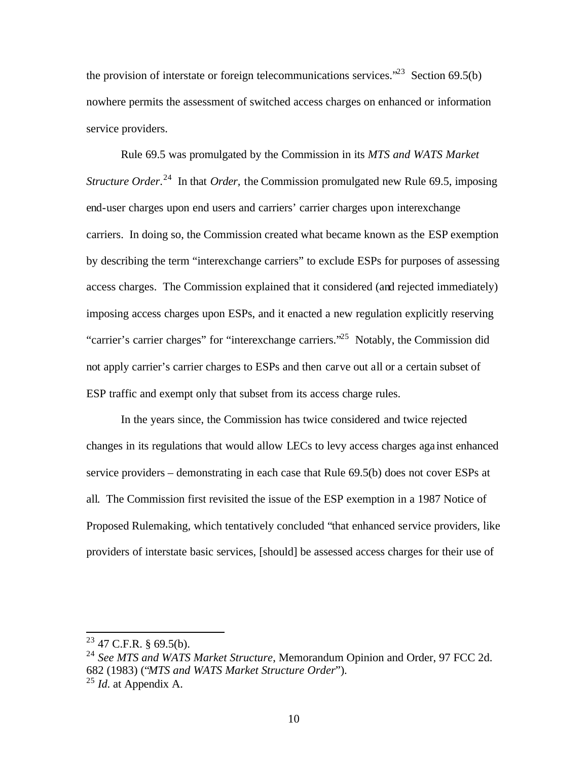the provision of interstate or foreign telecommunications services.<sup> $23$ </sup> Section 69.5(b) nowhere permits the assessment of switched access charges on enhanced or information service providers.

Rule 69.5 was promulgated by the Commission in its *MTS and WATS Market Structure Order*.<sup>24</sup> In that *Order*, the Commission promulgated new Rule 69.5, imposing end-user charges upon end users and carriers' carrier charges upon interexchange carriers. In doing so, the Commission created what became known as the ESP exemption by describing the term "interexchange carriers" to exclude ESPs for purposes of assessing access charges. The Commission explained that it considered (and rejected immediately) imposing access charges upon ESPs, and it enacted a new regulation explicitly reserving "carrier's carrier charges" for "interexchange carriers."<sup>25</sup> Notably, the Commission did not apply carrier's carrier charges to ESPs and then carve out all or a certain subset of ESP traffic and exempt only that subset from its access charge rules.

In the years since, the Commission has twice considered and twice rejected changes in its regulations that would allow LECs to levy access charges aga inst enhanced service providers – demonstrating in each case that Rule 69.5(b) does not cover ESPs at all. The Commission first revisited the issue of the ESP exemption in a 1987 Notice of Proposed Rulemaking, which tentatively concluded "that enhanced service providers, like providers of interstate basic services, [should] be assessed access charges for their use of

 $23$  47 C.F.R. § 69.5(b).

<sup>24</sup> *See MTS and WATS Market Structure*, Memorandum Opinion and Order, 97 FCC 2d. 682 (1983) ("*MTS and WATS Market Structure Order*"). <sup>25</sup> *Id*. at Appendix A.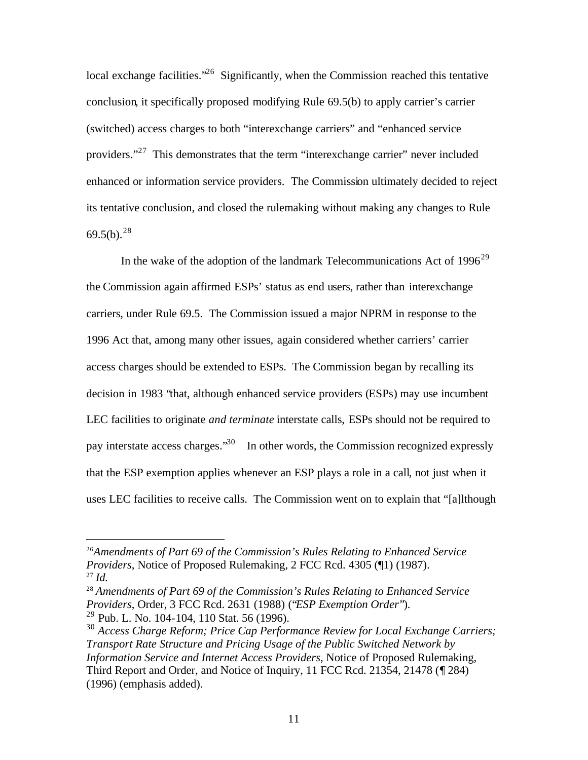local exchange facilities. $^{26}$  Significantly, when the Commission reached this tentative conclusion, it specifically proposed modifying Rule 69.5(b) to apply carrier's carrier (switched) access charges to both "interexchange carriers" and "enhanced service providers."<sup>27</sup> This demonstrates that the term "interexchange carrier" never included enhanced or information service providers. The Commission ultimately decided to reject its tentative conclusion, and closed the rulemaking without making any changes to Rule  $69.5(b).^{28}$ 

In the wake of the adoption of the landmark Telecommunications Act of  $1996^{29}$ the Commission again affirmed ESPs' status as end users, rather than interexchange carriers, under Rule 69.5. The Commission issued a major NPRM in response to the 1996 Act that, among many other issues, again considered whether carriers' carrier access charges should be extended to ESPs. The Commission began by recalling its decision in 1983 "that, although enhanced service providers (ESPs) may use incumbent LEC facilities to originate *and terminate* interstate calls, ESPs should not be required to pay interstate access charges."<sup>30</sup> In other words, the Commission recognized expressly that the ESP exemption applies whenever an ESP plays a role in a call, not just when it uses LEC facilities to receive calls. The Commission went on to explain that "[a]lthough

<sup>26</sup>*Amendments of Part 69 of the Commission's Rules Relating to Enhanced Service Providers*, Notice of Proposed Rulemaking, 2 FCC Rcd. 4305 (¶1) (1987). <sup>27</sup> *Id.*

<sup>28</sup> *Amendments of Part 69 of the Commission's Rules Relating to Enhanced Service Providers*, Order, 3 FCC Rcd. 2631 (1988) ("*ESP Exemption Order*").

 $^{29}$  Pub. L. No. 104-104, 110 Stat. 56 (1996).

<sup>30</sup> *Access Charge Reform; Price Cap Performance Review for Local Exchange Carriers; Transport Rate Structure and Pricing Usage of the Public Switched Network by Information Service and Internet Access Providers*, Notice of Proposed Rulemaking, Third Report and Order, and Notice of Inquiry, 11 FCC Rcd. 21354, 21478 (¶ 284) (1996) (emphasis added).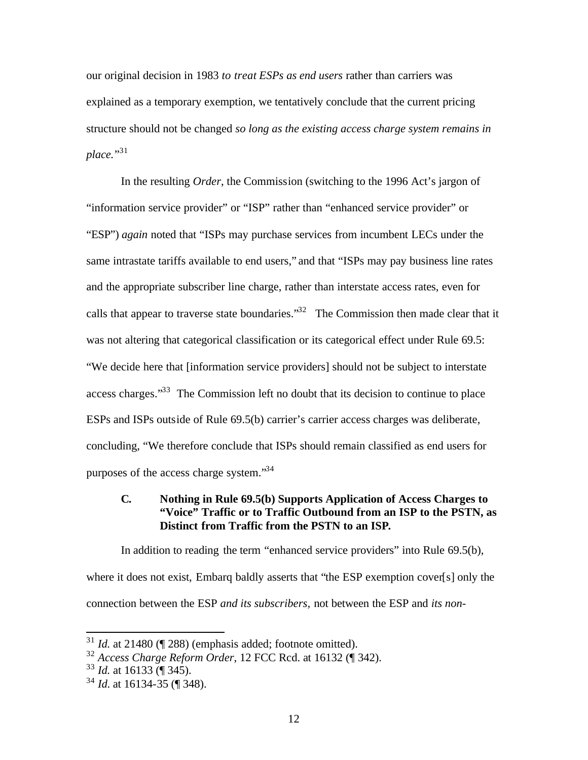our original decision in 1983 *to treat ESPs as end users* rather than carriers was explained as a temporary exemption, we tentatively conclude that the current pricing structure should not be changed *so long as the existing access charge system remains in*  place."<sup>31</sup>

In the resulting *Order*, the Commission (switching to the 1996 Act's jargon of "information service provider" or "ISP" rather than "enhanced service provider" or "ESP") *again* noted that "ISPs may purchase services from incumbent LECs under the same intrastate tariffs available to end users," and that "ISPs may pay business line rates and the appropriate subscriber line charge, rather than interstate access rates, even for calls that appear to traverse state boundaries.<sup>33</sup> The Commission then made clear that it was not altering that categorical classification or its categorical effect under Rule 69.5: "We decide here that [information service providers] should not be subject to interstate access charges."<sup>33</sup> The Commission left no doubt that its decision to continue to place ESPs and ISPs outside of Rule 69.5(b) carrier's carrier access charges was deliberate, concluding, "We therefore conclude that ISPs should remain classified as end users for purposes of the access charge system."<sup>34</sup>

### **C. Nothing in Rule 69.5(b) Supports Application of Access Charges to "Voice" Traffic or to Traffic Outbound from an ISP to the PSTN, as Distinct from Traffic from the PSTN to an ISP.**

In addition to reading the term "enhanced service providers" into Rule 69.5(b), where it does not exist, Embarq baldly asserts that "the ESP exemption cover[s] only the connection between the ESP *and its subscribers,* not between the ESP and *its non-*

<sup>31</sup> *Id.* at 21480 (¶ 288) (emphasis added; footnote omitted).

<sup>32</sup> *Access Charge Reform Order*, 12 FCC Rcd. at 16132 (¶ 342).

<sup>33</sup> *Id.* at 16133 (¶ 345).

<sup>34</sup> *Id*. at 16134-35 (¶ 348).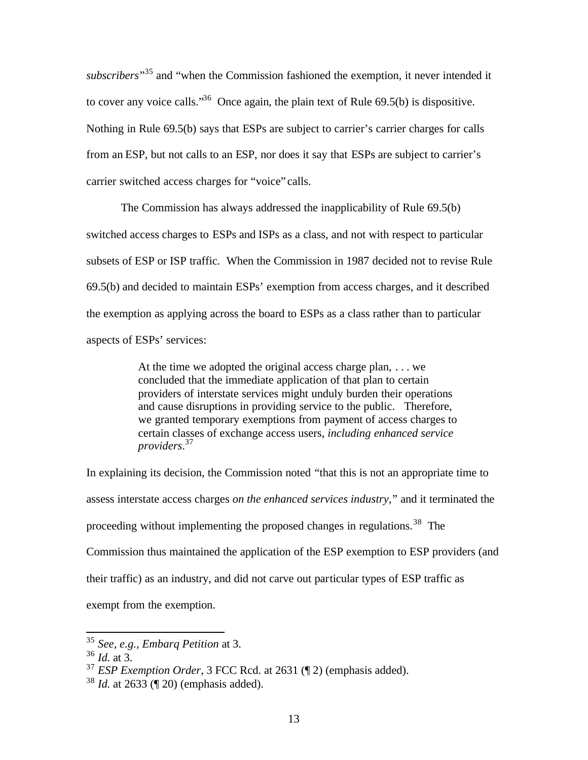subscribers<sup>35</sup> and "when the Commission fashioned the exemption, it never intended it to cover any voice calls.<sup>36</sup> Once again, the plain text of Rule  $69.5(b)$  is dispositive. Nothing in Rule 69.5(b) says that ESPs are subject to carrier's carrier charges for calls from an ESP, but not calls to an ESP, nor does it say that ESPs are subject to carrier's carrier switched access charges for "voice" calls.

The Commission has always addressed the inapplicability of Rule 69.5(b) switched access charges to ESPs and ISPs as a class, and not with respect to particular subsets of ESP or ISP traffic. When the Commission in 1987 decided not to revise Rule 69.5(b) and decided to maintain ESPs' exemption from access charges, and it described the exemption as applying across the board to ESPs as a class rather than to particular aspects of ESPs' services:

> At the time we adopted the original access charge plan, . . . we concluded that the immediate application of that plan to certain providers of interstate services might unduly burden their operations and cause disruptions in providing service to the public. Therefore, we granted temporary exemptions from payment of access charges to certain classes of exchange access users, *including enhanced service providers*. 37

In explaining its decision, the Commission noted "that this is not an appropriate time to assess interstate access charges *on the enhanced services industry*," and it terminated the proceeding without implementing the proposed changes in regulations.<sup>38</sup> The Commission thus maintained the application of the ESP exemption to ESP providers (and their traffic) as an industry, and did not carve out particular types of ESP traffic as exempt from the exemption.

<sup>35</sup> *See, e.g., Embarq Petition* at 3.

<sup>36</sup> *Id.* at 3.

<sup>37</sup> *ESP Exemption Order*, 3 FCC Rcd. at 2631 (¶ 2) (emphasis added).

<sup>38</sup> *Id.* at 2633 (¶ 20) (emphasis added).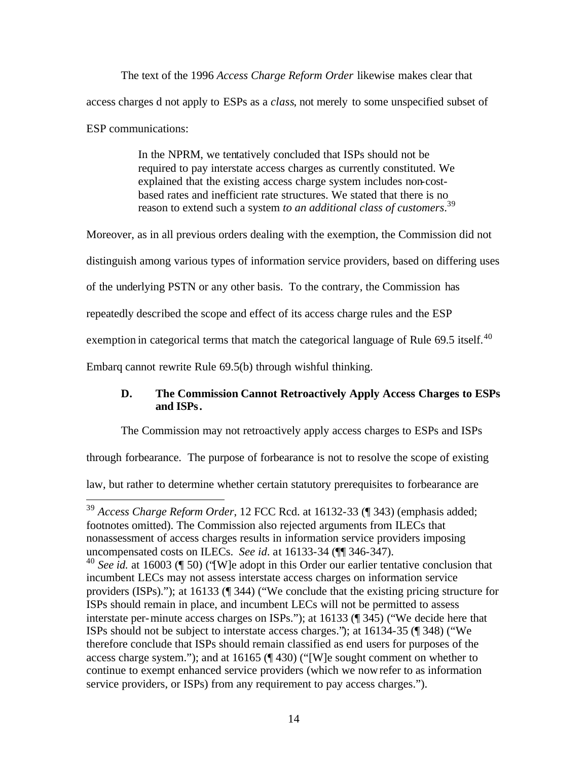The text of the 1996 *Access Charge Reform Order* likewise makes clear that access charges d not apply to ESPs as a *class*, not merely to some unspecified subset of ESP communications:

> In the NPRM, we tentatively concluded that ISPs should not be required to pay interstate access charges as currently constituted. We explained that the existing access charge system includes non-costbased rates and inefficient rate structures. We stated that there is no reason to extend such a system *to an additional class of customers*. 39

Moreover, as in all previous orders dealing with the exemption, the Commission did not

distinguish among various types of information service providers, based on differing uses

of the underlying PSTN or any other basis. To the contrary, the Commission has

repeatedly described the scope and effect of its access charge rules and the ESP

exemption in categorical terms that match the categorical language of Rule 69.5 itself.<sup>40</sup>

Embarq cannot rewrite Rule 69.5(b) through wishful thinking.

# **D. The Commission Cannot Retroactively Apply Access Charges to ESPs and ISPs.**

The Commission may not retroactively apply access charges to ESPs and ISPs

through forbearance. The purpose of forbearance is not to resolve the scope of existing

law, but rather to determine whether certain statutory prerequisites to forbearance are

 $\overline{a}$ <sup>39</sup> *Access Charge Reform Order*, 12 FCC Rcd. at 16132-33 (¶ 343) (emphasis added; footnotes omitted). The Commission also rejected arguments from ILECs that nonassessment of access charges results in information service providers imposing uncompensated costs on ILECs. *See id*. at 16133-34 (¶¶ 346-347).

<sup>40</sup> See id. at 16003 (¶ 50) ('[W]e adopt in this Order our earlier tentative conclusion that incumbent LECs may not assess interstate access charges on information service providers (ISPs)."); at 16133 (¶ 344) ("We conclude that the existing pricing structure for ISPs should remain in place, and incumbent LECs will not be permitted to assess interstate per-minute access charges on ISPs."); at 16133 (¶ 345) ("We decide here that ISPs should not be subject to interstate access charges."); at 16134-35 (¶ 348) ("We therefore conclude that ISPs should remain classified as end users for purposes of the access charge system."); and at 16165 (¶ 430) ("[W]e sought comment on whether to continue to exempt enhanced service providers (which we now refer to as information service providers, or ISPs) from any requirement to pay access charges.").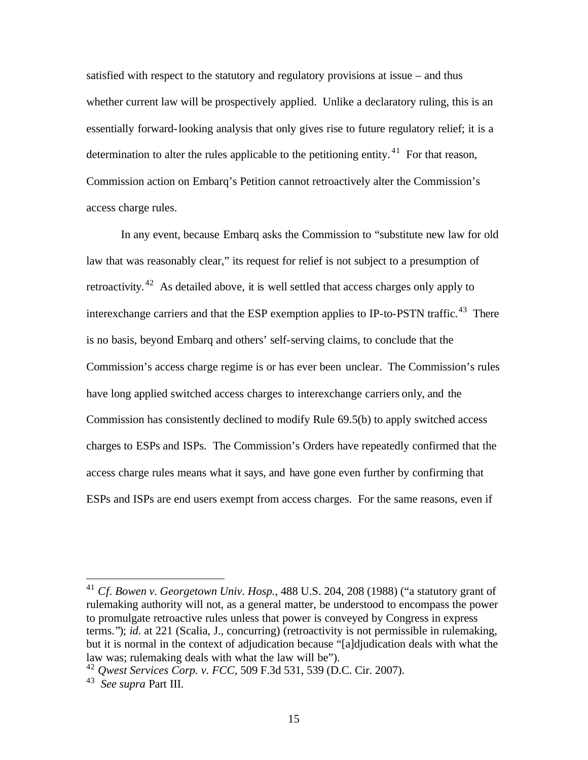satisfied with respect to the statutory and regulatory provisions at issue – and thus whether current law will be prospectively applied. Unlike a declaratory ruling, this is an essentially forward-looking analysis that only gives rise to future regulatory relief; it is a determination to alter the rules applicable to the petitioning entity.  $41$  For that reason, Commission action on Embarq's Petition cannot retroactively alter the Commission's access charge rules.

In any event, because Embarq asks the Commission to "substitute new law for old law that was reasonably clear," its request for relief is not subject to a presumption of retroactivity. <sup>42</sup> As detailed above, it is well settled that access charges only apply to interexchange carriers and that the ESP exemption applies to IP-to-PSTN traffic.<sup>43</sup> There is no basis, beyond Embarq and others' self-serving claims, to conclude that the Commission's access charge regime is or has ever been unclear. The Commission's rules have long applied switched access charges to interexchange carriers only, and the Commission has consistently declined to modify Rule 69.5(b) to apply switched access charges to ESPs and ISPs. The Commission's Orders have repeatedly confirmed that the access charge rules means what it says, and have gone even further by confirming that ESPs and ISPs are end users exempt from access charges. For the same reasons, even if

<sup>41</sup> *Cf. Bowen v. Georgetown Univ. Hosp.*, 488 U.S. 204, 208 (1988) ("a statutory grant of rulemaking authority will not, as a general matter, be understood to encompass the power to promulgate retroactive rules unless that power is conveyed by Congress in express terms."); *id*. at 221 (Scalia, J., concurring) (retroactivity is not permissible in rulemaking, but it is normal in the context of adjudication because "[a]djudication deals with what the law was; rulemaking deals with what the law will be").

<sup>42</sup> *Qwest Services Corp. v. FCC,* 509 F.3d 531, 539 (D.C. Cir. 2007). 43 *See supra* Part III.

<sup>15</sup>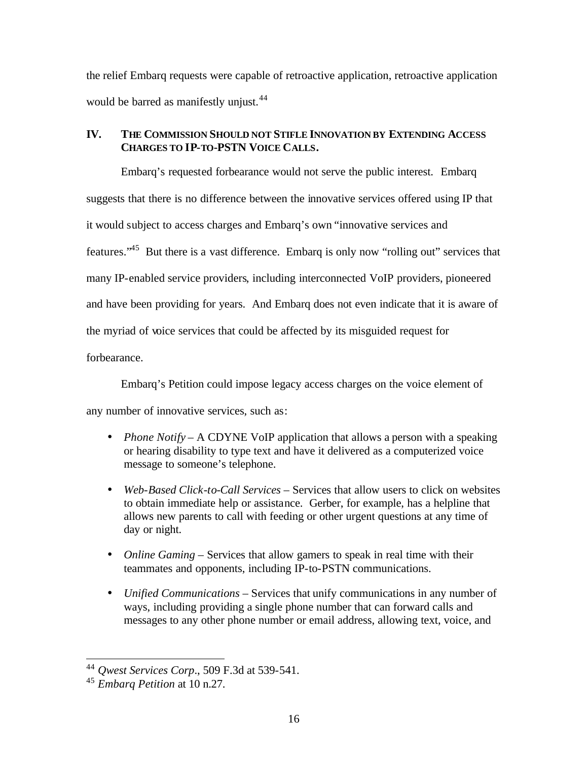the relief Embarq requests were capable of retroactive application, retroactive application would be barred as manifestly unjust.<sup>44</sup>

### **IV. THE COMMISSION SHOULD NOT STIFLE INNOVATION BY EXTENDING ACCESS CHARGES TO IP-TO-PSTN VOICE CALLS.**

Embarq's requested forbearance would not serve the public interest. Embarq suggests that there is no difference between the innovative services offered using IP that it would subject to access charges and Embarq's own "innovative services and features."<sup>45</sup> But there is a vast difference. Embarq is only now "rolling out" services that many IP-enabled service providers, including interconnected VoIP providers, pioneered and have been providing for years. And Embarq does not even indicate that it is aware of the myriad of voice services that could be affected by its misguided request for

forbearance.

Embarq's Petition could impose legacy access charges on the voice element of

any number of innovative services, such as:

- *Phone Notify* A CDYNE VoIP application that allows a person with a speaking or hearing disability to type text and have it delivered as a computerized voice message to someone's telephone.
- *Web-Based Click-to-Call Services* Services that allow users to click on websites to obtain immediate help or assistance. Gerber, for example, has a helpline that allows new parents to call with feeding or other urgent questions at any time of day or night.
- *Online Gaming* Services that allow gamers to speak in real time with their teammates and opponents, including IP-to-PSTN communications.
- *Unified Communications*  Services that unify communications in any number of ways, including providing a single phone number that can forward calls and messages to any other phone number or email address, allowing text, voice, and

<sup>44</sup> *Qwest Services Corp*., 509 F.3d at 539-541.

<sup>45</sup> *Embarq Petition* at 10 n.27.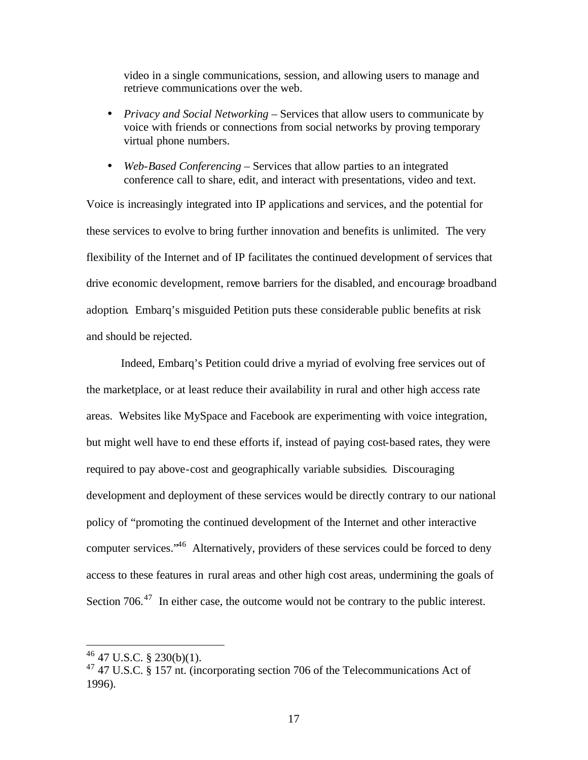video in a single communications, session, and allowing users to manage and retrieve communications over the web.

- *Privacy and Social Networking* Services that allow users to communicate by voice with friends or connections from social networks by proving temporary virtual phone numbers.
- *Web-Based Conferencing* Services that allow parties to an integrated conference call to share, edit, and interact with presentations, video and text.

Voice is increasingly integrated into IP applications and services, and the potential for these services to evolve to bring further innovation and benefits is unlimited. The very flexibility of the Internet and of IP facilitates the continued development of services that drive economic development, remove barriers for the disabled, and encourage broadband adoption. Embarq's misguided Petition puts these considerable public benefits at risk and should be rejected.

Indeed, Embarq's Petition could drive a myriad of evolving free services out of the marketplace, or at least reduce their availability in rural and other high access rate areas. Websites like MySpace and Facebook are experimenting with voice integration, but might well have to end these efforts if, instead of paying cost-based rates, they were required to pay above-cost and geographically variable subsidies. Discouraging development and deployment of these services would be directly contrary to our national policy of "promoting the continued development of the Internet and other interactive computer services."<sup>46</sup> Alternatively, providers of these services could be forced to deny access to these features in rural areas and other high cost areas, undermining the goals of Section 706.<sup>47</sup> In either case, the outcome would not be contrary to the public interest.

 $46$  47 U.S.C. § 230(b)(1).

<sup>47</sup> 47 U.S.C. § 157 nt. (incorporating section 706 of the Telecommunications Act of 1996).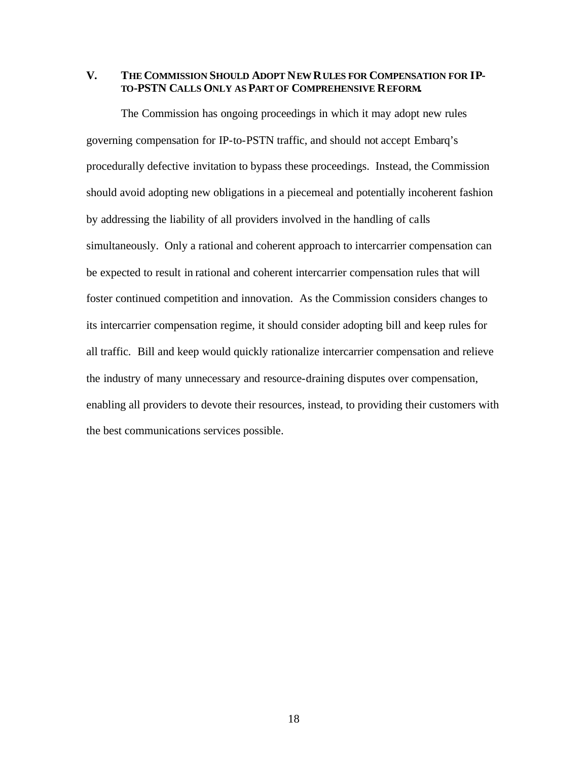**V. THE COMMISSION SHOULD ADOPT NEW RULES FOR COMPENSATION FOR IP-TO-PSTN CALLS ONLY AS PART OF COMPREHENSIVE REFORM.**

The Commission has ongoing proceedings in which it may adopt new rules governing compensation for IP-to-PSTN traffic, and should not accept Embarq's procedurally defective invitation to bypass these proceedings. Instead, the Commission should avoid adopting new obligations in a piecemeal and potentially incoherent fashion by addressing the liability of all providers involved in the handling of calls simultaneously. Only a rational and coherent approach to intercarrier compensation can be expected to result in rational and coherent intercarrier compensation rules that will foster continued competition and innovation. As the Commission considers changes to its intercarrier compensation regime, it should consider adopting bill and keep rules for all traffic. Bill and keep would quickly rationalize intercarrier compensation and relieve the industry of many unnecessary and resource-draining disputes over compensation, enabling all providers to devote their resources, instead, to providing their customers with the best communications services possible.